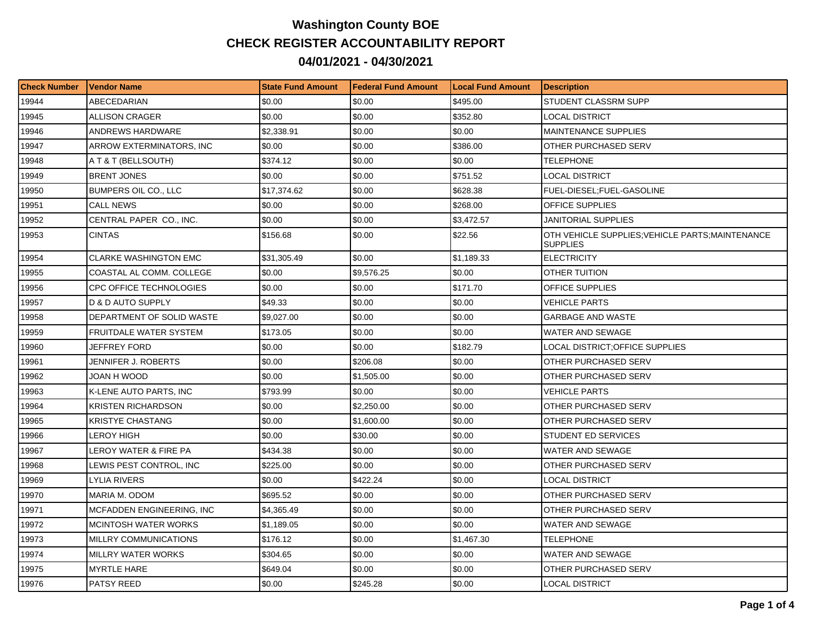## **Washington County BOE CHECK REGISTER ACCOUNTABILITY REPORT 04/01/2021 - 04/30/2021**

| <b>Check Number</b> | <b>Vendor Name</b>               | <b>State Fund Amount</b> | Federal Fund Amount | <b>Local Fund Amount</b> | <b>Description</b>                                                  |
|---------------------|----------------------------------|--------------------------|---------------------|--------------------------|---------------------------------------------------------------------|
| 19944               | ABECEDARIAN                      | \$0.00                   | \$0.00              | \$495.00                 | STUDENT CLASSRM SUPP                                                |
| 19945               | <b>ALLISON CRAGER</b>            | \$0.00                   | \$0.00              | \$352.80                 | <b>LOCAL DISTRICT</b>                                               |
| 19946               | ANDREWS HARDWARE                 | \$2,338.91               | \$0.00              | \$0.00                   | <b>MAINTENANCE SUPPLIES</b>                                         |
| 19947               | ARROW EXTERMINATORS, INC.        | \$0.00                   | \$0.00              | \$386.00                 | OTHER PURCHASED SERV                                                |
| 19948               | A T & T (BELLSOUTH)              | \$374.12                 | \$0.00              | \$0.00                   | TELEPHONE                                                           |
| 19949               | <b>BRENT JONES</b>               | \$0.00                   | \$0.00              | \$751.52                 | LOCAL DISTRICT                                                      |
| 19950               | <b>BUMPERS OIL CO., LLC</b>      | \$17,374.62              | \$0.00              | \$628.38                 | FUEL-DIESEL;FUEL-GASOLINE                                           |
| 19951               | <b>CALL NEWS</b>                 | \$0.00                   | \$0.00              | \$268.00                 | <b>OFFICE SUPPLIES</b>                                              |
| 19952               | CENTRAL PAPER CO., INC.          | \$0.00                   | \$0.00              | \$3.472.57               | <b>JANITORIAL SUPPLIES</b>                                          |
| 19953               | <b>CINTAS</b>                    | \$156.68                 | \$0.00              | \$22.56                  | OTH VEHICLE SUPPLIES; VEHICLE PARTS; MAINTENANCE<br><b>SUPPLIES</b> |
| 19954               | <b>CLARKE WASHINGTON EMC</b>     | \$31,305.49              | \$0.00              | \$1,189.33               | <b>ELECTRICITY</b>                                                  |
| 19955               | COASTAL AL COMM. COLLEGE         | \$0.00                   | \$9,576.25          | \$0.00                   | OTHER TUITION                                                       |
| 19956               | CPC OFFICE TECHNOLOGIES          | \$0.00                   | \$0.00              | \$171.70                 | OFFICE SUPPLIES                                                     |
| 19957               | D & D AUTO SUPPLY                | \$49.33                  | \$0.00              | \$0.00                   | <b>VEHICLE PARTS</b>                                                |
| 19958               | DEPARTMENT OF SOLID WASTE        | \$9,027.00               | \$0.00              | \$0.00                   | <b>GARBAGE AND WASTE</b>                                            |
| 19959               | FRUITDALE WATER SYSTEM           | \$173.05                 | \$0.00              | \$0.00                   | WATER AND SEWAGE                                                    |
| 19960               | JEFFREY FORD                     | \$0.00                   | \$0.00              | \$182.79                 | LOCAL DISTRICT:OFFICE SUPPLIES                                      |
| 19961               | JENNIFER J. ROBERTS              | \$0.00                   | \$206.08            | \$0.00                   | OTHER PURCHASED SERV                                                |
| 19962               | JOAN H WOOD                      | \$0.00                   | \$1,505.00          | \$0.00                   | OTHER PURCHASED SERV                                                |
| 19963               | K-LENE AUTO PARTS, INC           | \$793.99                 | \$0.00              | \$0.00                   | VEHICLE PARTS                                                       |
| 19964               | <b>KRISTEN RICHARDSON</b>        | \$0.00                   | \$2,250.00          | \$0.00                   | OTHER PURCHASED SERV                                                |
| 19965               | <b>KRISTYE CHASTANG</b>          | \$0.00                   | \$1,600.00          | \$0.00                   | OTHER PURCHASED SERV                                                |
| 19966               | LEROY HIGH                       | \$0.00                   | \$30.00             | \$0.00                   | STUDENT ED SERVICES                                                 |
| 19967               | LEROY WATER & FIRE PA            | \$434.38                 | \$0.00              | \$0.00                   | <b>WATER AND SEWAGE</b>                                             |
| 19968               | LEWIS PEST CONTROL, INC          | \$225.00                 | \$0.00              | \$0.00                   | OTHER PURCHASED SERV                                                |
| 19969               | <b>LYLIA RIVERS</b>              | \$0.00                   | \$422.24            | \$0.00                   | LOCAL DISTRICT                                                      |
| 19970               | MARIA M. ODOM                    | \$695.52                 | \$0.00              | \$0.00                   | OTHER PURCHASED SERV                                                |
| 19971               | <b>MCFADDEN ENGINEERING, INC</b> | \$4,365.49               | \$0.00              | \$0.00                   | OTHER PURCHASED SERV                                                |
| 19972               | MCINTOSH WATER WORKS             | \$1,189.05               | \$0.00              | \$0.00                   | WATER AND SEWAGE                                                    |
| 19973               | MILLRY COMMUNICATIONS            | \$176.12                 | \$0.00              | \$1,467.30               | <b>TELEPHONE</b>                                                    |
| 19974               | <b>MILLRY WATER WORKS</b>        | \$304.65                 | \$0.00              | \$0.00                   | WATER AND SEWAGE                                                    |
| 19975               | <b>MYRTLE HARE</b>               | \$649.04                 | \$0.00              | \$0.00                   | OTHER PURCHASED SERV                                                |
| 19976               | PATSY REED                       | \$0.00                   | \$245.28            | \$0.00                   | LOCAL DISTRICT                                                      |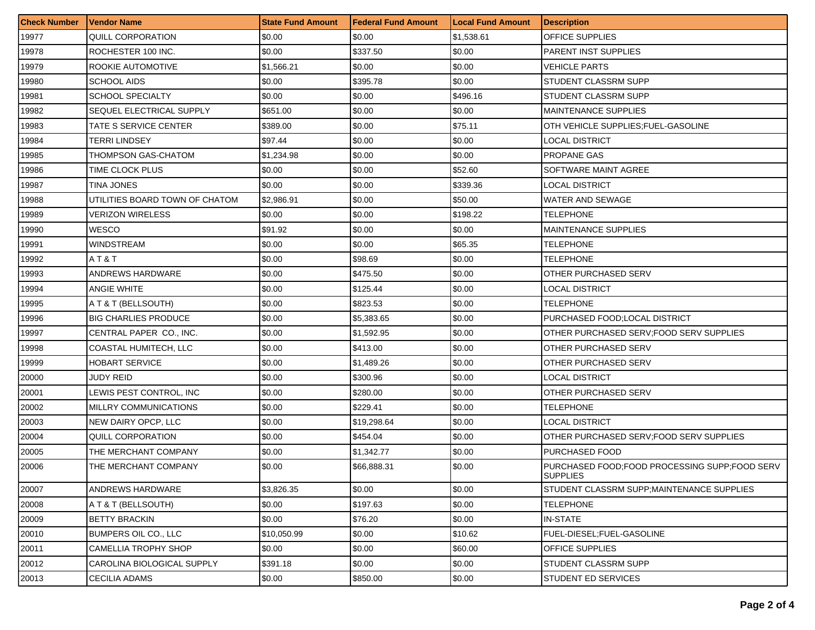| <b>Check Number</b> | <b>Vendor Name</b>             | <b>State Fund Amount</b> | <b>Federal Fund Amount</b> | <b>Local Fund Amount</b> | <b>Description</b>                                                 |
|---------------------|--------------------------------|--------------------------|----------------------------|--------------------------|--------------------------------------------------------------------|
| 19977               | QUILL CORPORATION              | \$0.00                   | \$0.00                     | \$1,538.61               | OFFICE SUPPLIES                                                    |
| 19978               | ROCHESTER 100 INC.             | \$0.00                   | \$337.50                   | \$0.00                   | <b>PARENT INST SUPPLIES</b>                                        |
| 19979               | ROOKIE AUTOMOTIVE              | \$1,566.21               | \$0.00                     | \$0.00                   | VEHICLE PARTS                                                      |
| 19980               | <b>SCHOOL AIDS</b>             | \$0.00                   | \$395.78                   | \$0.00                   | STUDENT CLASSRM SUPP                                               |
| 19981               | SCHOOL SPECIALTY               | \$0.00                   | \$0.00                     | \$496.16                 | STUDENT CLASSRM SUPP                                               |
| 19982               | SEQUEL ELECTRICAL SUPPLY       | \$651.00                 | \$0.00                     | \$0.00                   | <b>MAINTENANCE SUPPLIES</b>                                        |
| 19983               | TATE S SERVICE CENTER          | \$389.00                 | \$0.00                     | \$75.11                  | OTH VEHICLE SUPPLIES: FUEL-GASOLINE                                |
| 19984               | TERRI LINDSEY                  | \$97.44                  | \$0.00                     | \$0.00                   | LOCAL DISTRICT                                                     |
| 19985               | THOMPSON GAS-CHATOM            | \$1,234.98               | \$0.00                     | \$0.00                   | <b>PROPANE GAS</b>                                                 |
| 19986               | TIME CLOCK PLUS                | \$0.00                   | \$0.00                     | \$52.60                  | SOFTWARE MAINT AGREE                                               |
| 19987               | TINA JONES                     | \$0.00                   | \$0.00                     | \$339.36                 | LOCAL DISTRICT                                                     |
| 19988               | UTILITIES BOARD TOWN OF CHATOM | \$2,986.91               | \$0.00                     | \$50.00                  | <b>WATER AND SEWAGE</b>                                            |
| 19989               | VERIZON WIRELESS               | \$0.00                   | \$0.00                     | \$198.22                 | <b>TELEPHONE</b>                                                   |
| 19990               | WESCO                          | \$91.92                  | \$0.00                     | \$0.00                   | <b>MAINTENANCE SUPPLIES</b>                                        |
| 19991               | WINDSTREAM                     | \$0.00                   | \$0.00                     | \$65.35                  | TELEPHONE                                                          |
| 19992               | AT&T                           | \$0.00                   | \$98.69                    | \$0.00                   | TELEPHONE                                                          |
| 19993               | ANDREWS HARDWARE               | \$0.00                   | \$475.50                   | \$0.00                   | OTHER PURCHASED SERV                                               |
| 19994               | ANGIE WHITE                    | \$0.00                   | \$125.44                   | \$0.00                   | LOCAL DISTRICT                                                     |
| 19995               | A T & T (BELLSOUTH)            | \$0.00                   | \$823.53                   | \$0.00                   | TELEPHONE                                                          |
| 19996               | <b>BIG CHARLIES PRODUCE</b>    | \$0.00                   | \$5,383.65                 | \$0.00                   | PURCHASED FOOD;LOCAL DISTRICT                                      |
| 19997               | CENTRAL PAPER CO., INC.        | \$0.00                   | \$1,592.95                 | \$0.00                   | OTHER PURCHASED SERV; FOOD SERV SUPPLIES                           |
| 19998               | COASTAL HUMITECH, LLC          | \$0.00                   | \$413.00                   | \$0.00                   | OTHER PURCHASED SERV                                               |
| 19999               | HOBART SERVICE                 | \$0.00                   | \$1,489.26                 | \$0.00                   | OTHER PURCHASED SERV                                               |
| 20000               | JUDY REID                      | \$0.00                   | \$300.96                   | \$0.00                   | LOCAL DISTRICT                                                     |
| 20001               | LEWIS PEST CONTROL, INC        | \$0.00                   | \$280.00                   | \$0.00                   | OTHER PURCHASED SERV                                               |
| 20002               | MILLRY COMMUNICATIONS          | \$0.00                   | \$229.41                   | \$0.00                   | TELEPHONE                                                          |
| 20003               | NEW DAIRY OPCP, LLC            | \$0.00                   | \$19,298.64                | \$0.00                   | LOCAL DISTRICT                                                     |
| 20004               | QUILL CORPORATION              | \$0.00                   | \$454.04                   | \$0.00                   | OTHER PURCHASED SERV;FOOD SERV SUPPLIES                            |
| 20005               | THE MERCHANT COMPANY           | \$0.00                   | \$1,342.77                 | \$0.00                   | PURCHASED FOOD                                                     |
| 20006               | THE MERCHANT COMPANY           | \$0.00                   | \$66,888.31                | \$0.00                   | PURCHASED FOOD; FOOD PROCESSING SUPP; FOOD SERV<br><b>SUPPLIES</b> |
| 20007               | ANDREWS HARDWARE               | \$3,826.35               | \$0.00                     | \$0.00                   | STUDENT CLASSRM SUPP; MAINTENANCE SUPPLIES                         |
| 20008               | A T & T (BELLSOUTH)            | \$0.00                   | \$197.63                   | \$0.00                   | TELEPHONE                                                          |
| 20009               | <b>BETTY BRACKIN</b>           | \$0.00                   | \$76.20                    | \$0.00                   | IN-STATE                                                           |
| 20010               | BUMPERS OIL CO., LLC           | \$10,050.99              | \$0.00                     | \$10.62                  | FUEL-DIESEL;FUEL-GASOLINE                                          |
| 20011               | CAMELLIA TROPHY SHOP           | \$0.00                   | \$0.00                     | \$60.00                  | <b>OFFICE SUPPLIES</b>                                             |
| 20012               | CAROLINA BIOLOGICAL SUPPLY     | \$391.18                 | \$0.00                     | \$0.00                   | STUDENT CLASSRM SUPP                                               |
| 20013               | CECILIA ADAMS                  | \$0.00                   | \$850.00                   | \$0.00                   | <b>STUDENT ED SERVICES</b>                                         |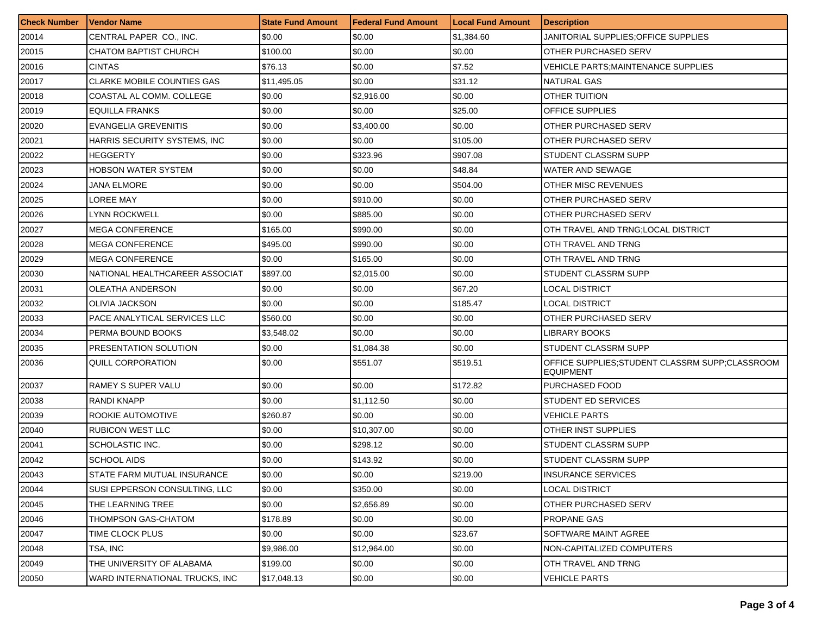| <b>Check Number</b> | <b>Vendor Name</b>                | <b>State Fund Amount</b> | Federal Fund Amount | <b>Local Fund Amount</b> | <b>Description</b>                                                   |
|---------------------|-----------------------------------|--------------------------|---------------------|--------------------------|----------------------------------------------------------------------|
| 20014               | CENTRAL PAPER CO., INC.           | \$0.00                   | \$0.00              | \$1,384.60               | JANITORIAL SUPPLIES:OFFICE SUPPLIES                                  |
| 20015               | CHATOM BAPTIST CHURCH             | \$100.00                 | \$0.00              | \$0.00                   | OTHER PURCHASED SERV                                                 |
| 20016               | <b>CINTAS</b>                     | \$76.13                  | \$0.00              | \$7.52                   | VEHICLE PARTS:MAINTENANCE SUPPLIES                                   |
| 20017               | <b>CLARKE MOBILE COUNTIES GAS</b> | \$11,495.05              | \$0.00              | \$31.12                  | <b>NATURAL GAS</b>                                                   |
| 20018               | COASTAL AL COMM. COLLEGE          | \$0.00                   | \$2,916.00          | \$0.00                   | OTHER TUITION                                                        |
| 20019               | <b>EQUILLA FRANKS</b>             | \$0.00                   | \$0.00              | \$25.00                  | <b>OFFICE SUPPLIES</b>                                               |
| 20020               | EVANGELIA GREVENITIS              | \$0.00                   | \$3,400.00          | \$0.00                   | OTHER PURCHASED SERV                                                 |
| 20021               | HARRIS SECURITY SYSTEMS, INC.     | \$0.00                   | \$0.00              | \$105.00                 | OTHER PURCHASED SERV                                                 |
| 20022               | <b>HEGGERTY</b>                   | \$0.00                   | \$323.96            | \$907.08                 | STUDENT CLASSRM SUPP                                                 |
| 20023               | HOBSON WATER SYSTEM               | \$0.00                   | \$0.00              | \$48.84                  | WATER AND SEWAGE                                                     |
| 20024               | JANA ELMORE                       | \$0.00                   | \$0.00              | \$504.00                 | OTHER MISC REVENUES                                                  |
| 20025               | LOREE MAY                         | \$0.00                   | \$910.00            | \$0.00                   | OTHER PURCHASED SERV                                                 |
| 20026               | <b>LYNN ROCKWELL</b>              | \$0.00                   | \$885.00            | \$0.00                   | OTHER PURCHASED SERV                                                 |
| 20027               | <b>MEGA CONFERENCE</b>            | \$165.00                 | \$990.00            | \$0.00                   | OTH TRAVEL AND TRNG; LOCAL DISTRICT                                  |
| 20028               | <b>MEGA CONFERENCE</b>            | \$495.00                 | \$990.00            | \$0.00                   | OTH TRAVEL AND TRNG                                                  |
| 20029               | <b>MEGA CONFERENCE</b>            | \$0.00                   | \$165.00            | \$0.00                   | OTH TRAVEL AND TRNG                                                  |
| 20030               | NATIONAL HEALTHCAREER ASSOCIAT    | \$897.00                 | \$2,015.00          | \$0.00                   | STUDENT CLASSRM SUPP                                                 |
| 20031               | <b>OLEATHA ANDERSON</b>           | \$0.00                   | \$0.00              | \$67.20                  | LOCAL DISTRICT                                                       |
| 20032               | <b>OLIVIA JACKSON</b>             | \$0.00                   | \$0.00              | \$185.47                 | <b>LOCAL DISTRICT</b>                                                |
| 20033               | PACE ANALYTICAL SERVICES LLC      | \$560.00                 | \$0.00              | \$0.00                   | OTHER PURCHASED SERV                                                 |
| 20034               | PERMA BOUND BOOKS                 | \$3,548.02               | \$0.00              | \$0.00                   | LIBRARY BOOKS                                                        |
| 20035               | PRESENTATION SOLUTION             | \$0.00                   | \$1,084.38          | \$0.00                   | STUDENT CLASSRM SUPP                                                 |
| 20036               | QUILL CORPORATION                 | \$0.00                   | \$551.07            | \$519.51                 | OFFICE SUPPLIES: STUDENT CLASSRM SUPP; CLASSROOM<br><b>EQUIPMENT</b> |
| 20037               | RAMEY S SUPER VALU                | \$0.00                   | \$0.00              | \$172.82                 | PURCHASED FOOD                                                       |
| 20038               | <b>RANDI KNAPP</b>                | \$0.00                   | \$1,112.50          | \$0.00                   | STUDENT ED SERVICES                                                  |
| 20039               | ROOKIE AUTOMOTIVE                 | \$260.87                 | \$0.00              | \$0.00                   | VEHICLE PARTS                                                        |
| 20040               | <b>RUBICON WEST LLC</b>           | \$0.00                   | \$10,307.00         | \$0.00                   | OTHER INST SUPPLIES                                                  |
| 20041               | SCHOLASTIC INC.                   | \$0.00                   | \$298.12            | \$0.00                   | STUDENT CLASSRM SUPP                                                 |
| 20042               | SCHOOL AIDS                       | \$0.00                   | \$143.92            | \$0.00                   | STUDENT CLASSRM SUPP                                                 |
| 20043               | STATE FARM MUTUAL INSURANCE       | \$0.00                   | \$0.00              | \$219.00                 | <b>INSURANCE SERVICES</b>                                            |
| 20044               | SUSI EPPERSON CONSULTING, LLC     | \$0.00                   | \$350.00            | \$0.00                   | LOCAL DISTRICT                                                       |
| 20045               | THE LEARNING TREE                 | \$0.00                   | \$2,656.89          | \$0.00                   | OTHER PURCHASED SERV                                                 |
| 20046               | THOMPSON GAS-CHATOM               | \$178.89                 | \$0.00              | \$0.00                   | <b>PROPANE GAS</b>                                                   |
| 20047               | TIME CLOCK PLUS                   | \$0.00                   | \$0.00              | \$23.67                  | SOFTWARE MAINT AGREE                                                 |
| 20048               | TSA, INC                          | \$9,986.00               | \$12,964.00         | \$0.00                   | NON-CAPITALIZED COMPUTERS                                            |
| 20049               | THE UNIVERSITY OF ALABAMA         | \$199.00                 | \$0.00              | \$0.00                   | OTH TRAVEL AND TRNG                                                  |
| 20050               | WARD INTERNATIONAL TRUCKS, INC    | \$17,048.13              | \$0.00              | \$0.00                   | <b>VEHICLE PARTS</b>                                                 |